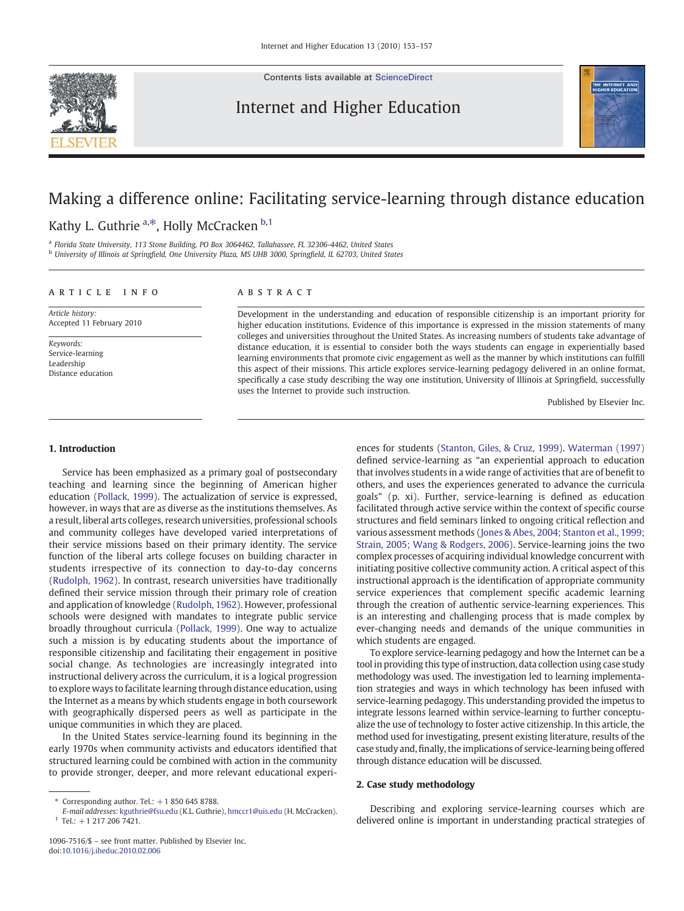Contents lists available at [ScienceDirect](http://www.sciencedirect.com/science/journal/10967516)

# Internet and Higher Education



# Making a difference online: Facilitating service-learning through distance education

# Kathy L. Guthrie <sup>a,\*</sup>, Holly McCracken <sup>b,1</sup>

<sup>a</sup> Florida State University, 113 Stone Building, PO Box 3064462, Tallahassee, FL 32306-4462, United States <sup>b</sup> University of Illinois at Springfield, One University Plaza, MS UHB 3000, Springfield, IL 62703, United States

# article info abstract

Article history: Accepted 11 February 2010

Keywords: Service-learning Leadership Distance education

Development in the understanding and education of responsible citizenship is an important priority for higher education institutions. Evidence of this importance is expressed in the mission statements of many colleges and universities throughout the United States. As increasing numbers of students take advantage of distance education, it is essential to consider both the ways students can engage in experientially based learning environments that promote civic engagement as well as the manner by which institutions can fulfill this aspect of their missions. This article explores service-learning pedagogy delivered in an online format, specifically a case study describing the way one institution, University of Illinois at Springfield, successfully uses the Internet to provide such instruction.

Published by Elsevier Inc.

# 1. Introduction

Service has been emphasized as a primary goal of postsecondary teaching and learning since the beginning of American higher education ([Pollack, 1999\)](#page-4-0). The actualization of service is expressed, however, in ways that are as diverse as the institutions themselves. As a result, liberal arts colleges, research universities, professional schools and community colleges have developed varied interpretations of their service missions based on their primary identity. The service function of the liberal arts college focuses on building character in students irrespective of its connection to day-to-day concerns [\(Rudolph, 1962](#page-4-0)). In contrast, research universities have traditionally defined their service mission through their primary role of creation and application of knowledge ([Rudolph, 1962](#page-4-0)). However, professional schools were designed with mandates to integrate public service broadly throughout curricula ([Pollack, 1999\)](#page-4-0). One way to actualize such a mission is by educating students about the importance of responsible citizenship and facilitating their engagement in positive social change. As technologies are increasingly integrated into instructional delivery across the curriculum, it is a logical progression to explore ways to facilitate learning through distance education, using the Internet as a means by which students engage in both coursework with geographically dispersed peers as well as participate in the unique communities in which they are placed.

In the United States service-learning found its beginning in the early 1970s when community activists and educators identified that structured learning could be combined with action in the community to provide stronger, deeper, and more relevant educational experiences for students [\(Stanton, Giles, & Cruz, 1999\)](#page-4-0). [Waterman \(1997\)](#page-4-0) defined service-learning as "an experiential approach to education that involves students in a wide range of activities that are of benefit to others, and uses the experiences generated to advance the curricula goals" (p. xi). Further, service-learning is defined as education facilitated through active service within the context of specific course structures and field seminars linked to ongoing critical reflection and various assessment methods ([Jones & Abes, 2004; Stanton et al., 1999;](#page-4-0) [Strain, 2005; Wang & Rodgers, 2006\)](#page-4-0). Service-learning joins the two complex processes of acquiring individual knowledge concurrent with initiating positive collective community action. A critical aspect of this instructional approach is the identification of appropriate community service experiences that complement specific academic learning through the creation of authentic service-learning experiences. This is an interesting and challenging process that is made complex by ever-changing needs and demands of the unique communities in which students are engaged.

To explore service-learning pedagogy and how the Internet can be a tool in providing this type of instruction, data collection using case study methodology was used. The investigation led to learning implementation strategies and ways in which technology has been infused with service-learning pedagogy. This understanding provided the impetus to integrate lessons learned within service-learning to further conceptualize the use of technology to foster active citizenship. In this article, the method used for investigating, present existing literature, results of the case study and, finally, the implications of service-learning being offered through distance education will be discussed.

# 2. Case study methodology

Describing and exploring service-learning courses which are delivered online is important in understanding practical strategies of

Corresponding author. Tel.:  $+1$  850 645 8788.

E-mail addresses: [kguthrie@fsu.edu](mailto:kguthrie@fsu.edu) (K.L. Guthrie), [hmccr1@uis.edu](mailto:hmccr1@uis.edu) (H. McCracken).  $1$  Tel.:  $+1$  217 206 7421.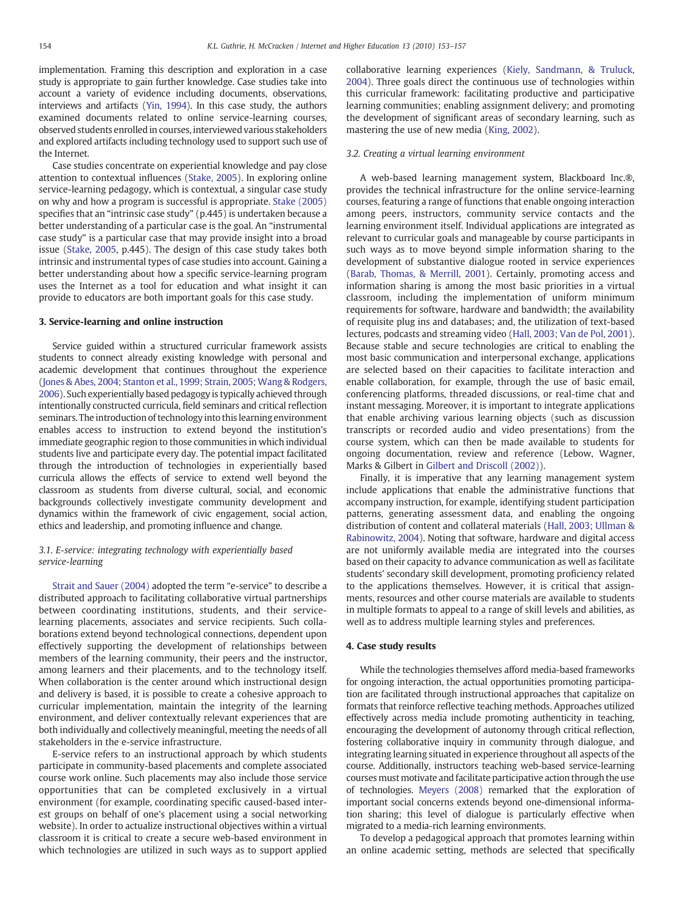implementation. Framing this description and exploration in a case study is appropriate to gain further knowledge. Case studies take into account a variety of evidence including documents, observations, interviews and artifacts [\(Yin, 1994](#page-4-0)). In this case study, the authors examined documents related to online service-learning courses, observed students enrolled in courses, interviewed various stakeholders and explored artifacts including technology used to support such use of the Internet.

Case studies concentrate on experiential knowledge and pay close attention to contextual influences [\(Stake, 2005\)](#page-4-0). In exploring online service-learning pedagogy, which is contextual, a singular case study on why and how a program is successful is appropriate. [Stake \(2005\)](#page-4-0) specifies that an "intrinsic case study" (p.445) is undertaken because a better understanding of a particular case is the goal. An "instrumental case study" is a particular case that may provide insight into a broad issue [\(Stake, 2005](#page-4-0), p.445). The design of this case study takes both intrinsic and instrumental types of case studies into account. Gaining a better understanding about how a specific service-learning program uses the Internet as a tool for education and what insight it can provide to educators are both important goals for this case study.

# 3. Service-learning and online instruction

Service guided within a structured curricular framework assists students to connect already existing knowledge with personal and academic development that continues throughout the experience [\(Jones & Abes, 2004; Stanton et al., 1999; Strain, 2005; Wang & Rodgers,](#page-4-0) [2006\)](#page-4-0). Such experientially based pedagogy is typically achieved through intentionally constructed curricula, field seminars and critical reflection seminars. The introduction of technology into this learning environment enables access to instruction to extend beyond the institution's immediate geographic region to those communities in which individual students live and participate every day. The potential impact facilitated through the introduction of technologies in experientially based curricula allows the effects of service to extend well beyond the classroom as students from diverse cultural, social, and economic backgrounds collectively investigate community development and dynamics within the framework of civic engagement, social action, ethics and leadership, and promoting influence and change.

# 3.1. E-service: integrating technology with experientially based service-learning

[Strait and Sauer \(2004\)](#page-4-0) adopted the term "e-service" to describe a distributed approach to facilitating collaborative virtual partnerships between coordinating institutions, students, and their servicelearning placements, associates and service recipients. Such collaborations extend beyond technological connections, dependent upon effectively supporting the development of relationships between members of the learning community, their peers and the instructor, among learners and their placements, and to the technology itself. When collaboration is the center around which instructional design and delivery is based, it is possible to create a cohesive approach to curricular implementation, maintain the integrity of the learning environment, and deliver contextually relevant experiences that are both individually and collectively meaningful, meeting the needs of all stakeholders in the e-service infrastructure.

E-service refers to an instructional approach by which students participate in community-based placements and complete associated course work online. Such placements may also include those service opportunities that can be completed exclusively in a virtual environment (for example, coordinating specific caused-based interest groups on behalf of one's placement using a social networking website). In order to actualize instructional objectives within a virtual classroom it is critical to create a secure web-based environment in which technologies are utilized in such ways as to support applied collaborative learning experiences ([Kiely, Sandmann, & Truluck,](#page-4-0) [2004\)](#page-4-0). Three goals direct the continuous use of technologies within this curricular framework: facilitating productive and participative learning communities; enabling assignment delivery; and promoting the development of significant areas of secondary learning, such as mastering the use of new media ([King, 2002\)](#page-4-0).

# 3.2. Creating a virtual learning environment

A web-based learning management system, Blackboard Inc.®, provides the technical infrastructure for the online service-learning courses, featuring a range of functions that enable ongoing interaction among peers, instructors, community service contacts and the learning environment itself. Individual applications are integrated as relevant to curricular goals and manageable by course participants in such ways as to move beyond simple information sharing to the development of substantive dialogue rooted in service experiences [\(Barab, Thomas, & Merrill, 2001](#page-3-0)). Certainly, promoting access and information sharing is among the most basic priorities in a virtual classroom, including the implementation of uniform minimum requirements for software, hardware and bandwidth; the availability of requisite plug ins and databases; and, the utilization of text-based lectures, podcasts and streaming video ([Hall, 2003; Van de Pol, 2001](#page-4-0)). Because stable and secure technologies are critical to enabling the most basic communication and interpersonal exchange, applications are selected based on their capacities to facilitate interaction and enable collaboration, for example, through the use of basic email, conferencing platforms, threaded discussions, or real-time chat and instant messaging. Moreover, it is important to integrate applications that enable archiving various learning objects (such as discussion transcripts or recorded audio and video presentations) from the course system, which can then be made available to students for ongoing documentation, review and reference (Lebow, Wagner, Marks & Gilbert in [Gilbert and Driscoll \(2002\)\)](#page-4-0).

Finally, it is imperative that any learning management system include applications that enable the administrative functions that accompany instruction, for example, identifying student participation patterns, generating assessment data, and enabling the ongoing distribution of content and collateral materials ([Hall, 2003; Ullman &](#page-4-0) [Rabinowitz, 2004\)](#page-4-0). Noting that software, hardware and digital access are not uniformly available media are integrated into the courses based on their capacity to advance communication as well as facilitate students' secondary skill development, promoting proficiency related to the applications themselves. However, it is critical that assignments, resources and other course materials are available to students in multiple formats to appeal to a range of skill levels and abilities, as well as to address multiple learning styles and preferences.

# 4. Case study results

While the technologies themselves afford media-based frameworks for ongoing interaction, the actual opportunities promoting participation are facilitated through instructional approaches that capitalize on formats that reinforce reflective teaching methods. Approaches utilized effectively across media include promoting authenticity in teaching, encouraging the development of autonomy through critical reflection, fostering collaborative inquiry in community through dialogue, and integrating learning situated in experience throughout all aspects of the course. Additionally, instructors teaching web-based service-learning courses must motivate and facilitate participative action through the use of technologies. [Meyers \(2008\)](#page-4-0) remarked that the exploration of important social concerns extends beyond one-dimensional information sharing; this level of dialogue is particularly effective when migrated to a media-rich learning environments.

To develop a pedagogical approach that promotes learning within an online academic setting, methods are selected that specifically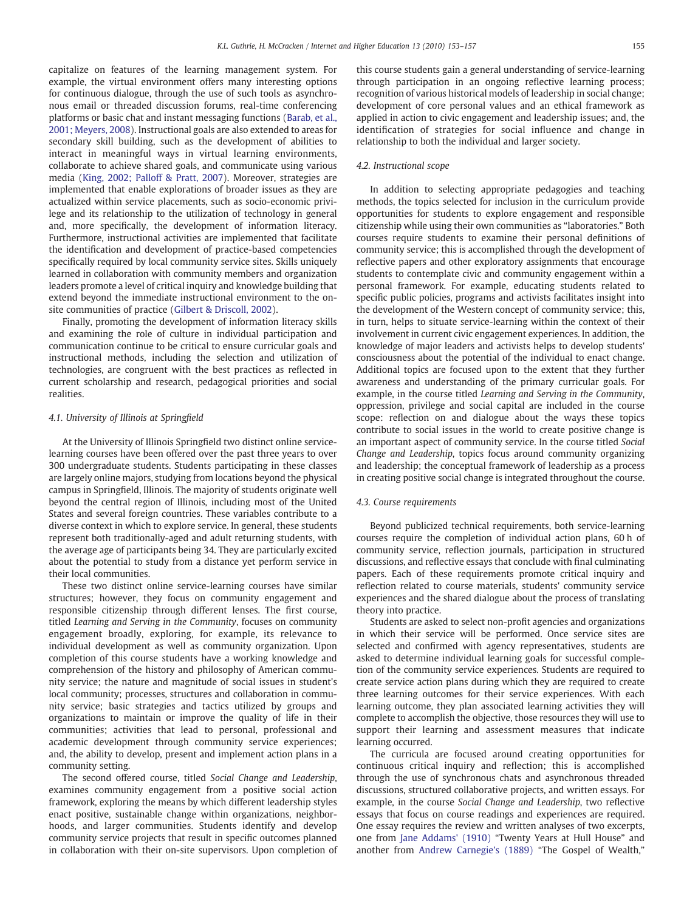capitalize on features of the learning management system. For example, the virtual environment offers many interesting options for continuous dialogue, through the use of such tools as asynchronous email or threaded discussion forums, real-time conferencing platforms or basic chat and instant messaging functions ([Barab, et al.,](#page-3-0) [2001; Meyers, 2008\)](#page-3-0). Instructional goals are also extended to areas for secondary skill building, such as the development of abilities to interact in meaningful ways in virtual learning environments, collaborate to achieve shared goals, and communicate using various media [\(King, 2002; Palloff & Pratt, 2007](#page-4-0)). Moreover, strategies are implemented that enable explorations of broader issues as they are actualized within service placements, such as socio-economic privilege and its relationship to the utilization of technology in general and, more specifically, the development of information literacy. Furthermore, instructional activities are implemented that facilitate the identification and development of practice-based competencies specifically required by local community service sites. Skills uniquely learned in collaboration with community members and organization leaders promote a level of critical inquiry and knowledge building that extend beyond the immediate instructional environment to the onsite communities of practice ([Gilbert & Driscoll, 2002\)](#page-4-0).

Finally, promoting the development of information literacy skills and examining the role of culture in individual participation and communication continue to be critical to ensure curricular goals and instructional methods, including the selection and utilization of technologies, are congruent with the best practices as reflected in current scholarship and research, pedagogical priorities and social realities.

## 4.1. University of Illinois at Springfield

At the University of Illinois Springfield two distinct online servicelearning courses have been offered over the past three years to over 300 undergraduate students. Students participating in these classes are largely online majors, studying from locations beyond the physical campus in Springfield, Illinois. The majority of students originate well beyond the central region of Illinois, including most of the United States and several foreign countries. These variables contribute to a diverse context in which to explore service. In general, these students represent both traditionally-aged and adult returning students, with the average age of participants being 34. They are particularly excited about the potential to study from a distance yet perform service in their local communities.

These two distinct online service-learning courses have similar structures; however, they focus on community engagement and responsible citizenship through different lenses. The first course, titled Learning and Serving in the Community, focuses on community engagement broadly, exploring, for example, its relevance to individual development as well as community organization. Upon completion of this course students have a working knowledge and comprehension of the history and philosophy of American community service; the nature and magnitude of social issues in student's local community; processes, structures and collaboration in community service; basic strategies and tactics utilized by groups and organizations to maintain or improve the quality of life in their communities; activities that lead to personal, professional and academic development through community service experiences; and, the ability to develop, present and implement action plans in a community setting.

The second offered course, titled Social Change and Leadership, examines community engagement from a positive social action framework, exploring the means by which different leadership styles enact positive, sustainable change within organizations, neighborhoods, and larger communities. Students identify and develop community service projects that result in specific outcomes planned in collaboration with their on-site supervisors. Upon completion of this course students gain a general understanding of service-learning through participation in an ongoing reflective learning process; recognition of various historical models of leadership in social change; development of core personal values and an ethical framework as applied in action to civic engagement and leadership issues; and, the identification of strategies for social influence and change in relationship to both the individual and larger society.

# 4.2. Instructional scope

In addition to selecting appropriate pedagogies and teaching methods, the topics selected for inclusion in the curriculum provide opportunities for students to explore engagement and responsible citizenship while using their own communities as "laboratories." Both courses require students to examine their personal definitions of community service; this is accomplished through the development of reflective papers and other exploratory assignments that encourage students to contemplate civic and community engagement within a personal framework. For example, educating students related to specific public policies, programs and activists facilitates insight into the development of the Western concept of community service; this, in turn, helps to situate service-learning within the context of their involvement in current civic engagement experiences. In addition, the knowledge of major leaders and activists helps to develop students' consciousness about the potential of the individual to enact change. Additional topics are focused upon to the extent that they further awareness and understanding of the primary curricular goals. For example, in the course titled Learning and Serving in the Community, oppression, privilege and social capital are included in the course scope: reflection on and dialogue about the ways these topics contribute to social issues in the world to create positive change is an important aspect of community service. In the course titled Social Change and Leadership, topics focus around community organizing and leadership; the conceptual framework of leadership as a process in creating positive social change is integrated throughout the course.

# 4.3. Course requirements

Beyond publicized technical requirements, both service-learning courses require the completion of individual action plans, 60 h of community service, reflection journals, participation in structured discussions, and reflective essays that conclude with final culminating papers. Each of these requirements promote critical inquiry and reflection related to course materials, students' community service experiences and the shared dialogue about the process of translating theory into practice.

Students are asked to select non-profit agencies and organizations in which their service will be performed. Once service sites are selected and confirmed with agency representatives, students are asked to determine individual learning goals for successful completion of the community service experiences. Students are required to create service action plans during which they are required to create three learning outcomes for their service experiences. With each learning outcome, they plan associated learning activities they will complete to accomplish the objective, those resources they will use to support their learning and assessment measures that indicate learning occurred.

The curricula are focused around creating opportunities for continuous critical inquiry and reflection; this is accomplished through the use of synchronous chats and asynchronous threaded discussions, structured collaborative projects, and written essays. For example, in the course Social Change and Leadership, two reflective essays that focus on course readings and experiences are required. One essay requires the review and written analyses of two excerpts, one from [Jane Addams' \(1910\)](#page-3-0) "Twenty Years at Hull House" and another from [Andrew Carnegie's \(1889\)](#page-4-0) "The Gospel of Wealth,"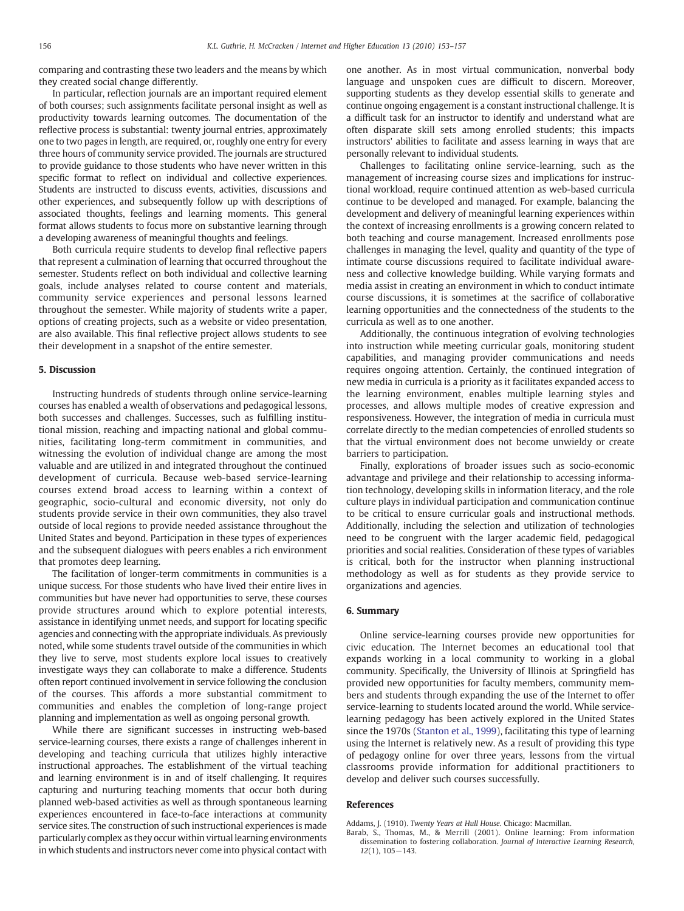<span id="page-3-0"></span>comparing and contrasting these two leaders and the means by which they created social change differently.

In particular, reflection journals are an important required element of both courses; such assignments facilitate personal insight as well as productivity towards learning outcomes. The documentation of the reflective process is substantial: twenty journal entries, approximately one to two pages in length, are required, or, roughly one entry for every three hours of community service provided. The journals are structured to provide guidance to those students who have never written in this specific format to reflect on individual and collective experiences. Students are instructed to discuss events, activities, discussions and other experiences, and subsequently follow up with descriptions of associated thoughts, feelings and learning moments. This general format allows students to focus more on substantive learning through a developing awareness of meaningful thoughts and feelings.

Both curricula require students to develop final reflective papers that represent a culmination of learning that occurred throughout the semester. Students reflect on both individual and collective learning goals, include analyses related to course content and materials, community service experiences and personal lessons learned throughout the semester. While majority of students write a paper, options of creating projects, such as a website or video presentation, are also available. This final reflective project allows students to see their development in a snapshot of the entire semester.

# 5. Discussion

Instructing hundreds of students through online service-learning courses has enabled a wealth of observations and pedagogical lessons, both successes and challenges. Successes, such as fulfilling institutional mission, reaching and impacting national and global communities, facilitating long-term commitment in communities, and witnessing the evolution of individual change are among the most valuable and are utilized in and integrated throughout the continued development of curricula. Because web-based service-learning courses extend broad access to learning within a context of geographic, socio-cultural and economic diversity, not only do students provide service in their own communities, they also travel outside of local regions to provide needed assistance throughout the United States and beyond. Participation in these types of experiences and the subsequent dialogues with peers enables a rich environment that promotes deep learning.

The facilitation of longer-term commitments in communities is a unique success. For those students who have lived their entire lives in communities but have never had opportunities to serve, these courses provide structures around which to explore potential interests, assistance in identifying unmet needs, and support for locating specific agencies and connecting with the appropriate individuals. As previously noted, while some students travel outside of the communities in which they live to serve, most students explore local issues to creatively investigate ways they can collaborate to make a difference. Students often report continued involvement in service following the conclusion of the courses. This affords a more substantial commitment to communities and enables the completion of long-range project planning and implementation as well as ongoing personal growth.

While there are significant successes in instructing web-based service-learning courses, there exists a range of challenges inherent in developing and teaching curricula that utilizes highly interactive instructional approaches. The establishment of the virtual teaching and learning environment is in and of itself challenging. It requires capturing and nurturing teaching moments that occur both during planned web-based activities as well as through spontaneous learning experiences encountered in face-to-face interactions at community service sites. The construction of such instructional experiences is made particularly complex as they occur within virtual learning environments in which students and instructors never come into physical contact with one another. As in most virtual communication, nonverbal body language and unspoken cues are difficult to discern. Moreover, supporting students as they develop essential skills to generate and continue ongoing engagement is a constant instructional challenge. It is a difficult task for an instructor to identify and understand what are often disparate skill sets among enrolled students; this impacts instructors' abilities to facilitate and assess learning in ways that are personally relevant to individual students.

Challenges to facilitating online service-learning, such as the management of increasing course sizes and implications for instructional workload, require continued attention as web-based curricula continue to be developed and managed. For example, balancing the development and delivery of meaningful learning experiences within the context of increasing enrollments is a growing concern related to both teaching and course management. Increased enrollments pose challenges in managing the level, quality and quantity of the type of intimate course discussions required to facilitate individual awareness and collective knowledge building. While varying formats and media assist in creating an environment in which to conduct intimate course discussions, it is sometimes at the sacrifice of collaborative learning opportunities and the connectedness of the students to the curricula as well as to one another.

Additionally, the continuous integration of evolving technologies into instruction while meeting curricular goals, monitoring student capabilities, and managing provider communications and needs requires ongoing attention. Certainly, the continued integration of new media in curricula is a priority as it facilitates expanded access to the learning environment, enables multiple learning styles and processes, and allows multiple modes of creative expression and responsiveness. However, the integration of media in curricula must correlate directly to the median competencies of enrolled students so that the virtual environment does not become unwieldy or create barriers to participation.

Finally, explorations of broader issues such as socio-economic advantage and privilege and their relationship to accessing information technology, developing skills in information literacy, and the role culture plays in individual participation and communication continue to be critical to ensure curricular goals and instructional methods. Additionally, including the selection and utilization of technologies need to be congruent with the larger academic field, pedagogical priorities and social realities. Consideration of these types of variables is critical, both for the instructor when planning instructional methodology as well as for students as they provide service to organizations and agencies.

### 6. Summary

Online service-learning courses provide new opportunities for civic education. The Internet becomes an educational tool that expands working in a local community to working in a global community. Specifically, the University of Illinois at Springfield has provided new opportunities for faculty members, community members and students through expanding the use of the Internet to offer service-learning to students located around the world. While servicelearning pedagogy has been actively explored in the United States since the 1970s [\(Stanton et al., 1999](#page-4-0)), facilitating this type of learning using the Internet is relatively new. As a result of providing this type of pedagogy online for over three years, lessons from the virtual classrooms provide information for additional practitioners to develop and deliver such courses successfully.

# References

Addams, J. (1910). Twenty Years at Hull House. Chicago: Macmillan.

Barab, S., Thomas, M., & Merrill (2001). Online learning: From information dissemination to fostering collaboration. Journal of Interactive Learning Research, 12(1), 105−143.